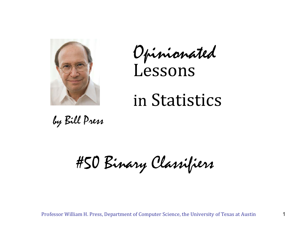

Opinionated Lessons

# in Statistics

by Bill Press

#50 Binary Classifiers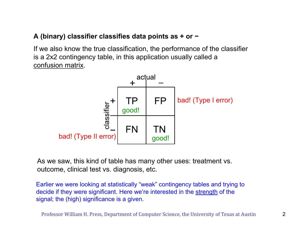## **A (binary) classifier classifies data points as + or <sup>−</sup>**

If we also know the true classification, the performance of the classifier is a 2x2 contingency table, in this application usually called a confusion matrix.



As we saw, this kind of table has many other uses: treatment vs. outcome, clinical test vs. diagnosis, etc.

Earlier we were looking at statistically "weak" contingency tables and trying to decide if they were significant. Here we're interested in the strength of the signal; the (high) significance is a given.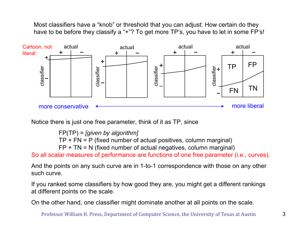Most classifiers have a "knob" or threshold that you can adjust: How certain do they have to be before they classify a "+"? To get more TP's, you have to let in some FP's!



Notice there is just one free parameter, think of it as TP, since

FP(TP) = *[given by algorithm]* 

TP + FN = P (fixed number of actual positives, column marginal)

FP + TN = N (fixed number of actual negatives, column marginal)

So all scalar measures of performance are functions of one free parameter (i.e., curves).

And the points on any such curve are in 1-to-1 correspondence with those on any other such curve.

If you ranked some classifiers by how good they are, you might get a different rankings at different points on the scale.

On the other hand, one classifier might dominate another at all points on the scale.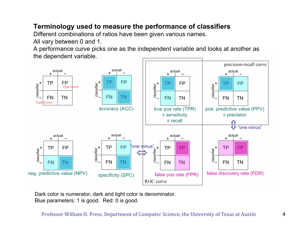# **Terminology used to measure the performance of classifiers**

Different combinations of ratios have been given various names.

All vary between 0 and 1.

A performance curve picks one as the independent variable and looks at another as the dependent variable.



Dark color is numerator, dark and light color is denominator. Blue parameters: 1 is good. Red: 0 is good.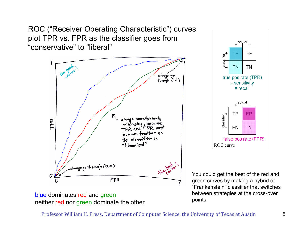ROC ("Receiver Operating Characteristic") curves plot TPR vs. FPR as the classifier goes from "conservative" to "liberal"



## blue dominates red and green neither red nor green dominate the other



You could get the best of the red and green curves by making a hybrid or "Frankenstein" classifier that switches between strategies at the cross-over points.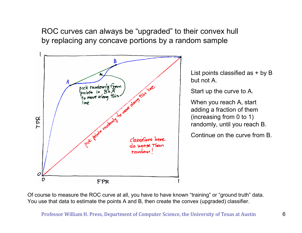ROC curves can always be "upgraded" to their convex hull by replacing any concave portions by a random sample



List points classified as + by B but not A.

Start up the curve to A.

When you reach A, start adding a fraction of them (increasing from 0 to 1) randomly, until you reach B.

Continue on the curve from B.

Of course to measure the ROC curve at all, you have to have known "training" or "ground truth" data. You use that data to estimate the points A and B, then create the convex (upgraded) classifier.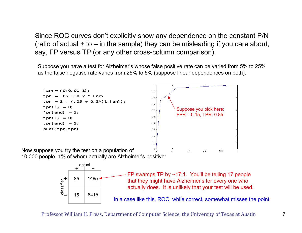Since ROC curves don't explicitly show any dependence on the constant P/N (ratio of actual  $+$  to  $-$  in the sample) they can be misleading if you care about, say, FP versus TP (or any other cross-column comparison).

Suppose you have a test for Alzheimer's whose false positive rate can be varied from 5% to 25% as the false negative rate varies from 25% to 5% (suppose linear dependences on both):



10,000 people, 1% of whom actually are Alzheimer's positive:



FP swamps TP by  $\sim$ 17:1. You'll be telling 17 people that they might have Alzheimer's for every one who actually does. It is unlikely that your test will be used. In a case like this, ROC, while correct, somewhat misses the point.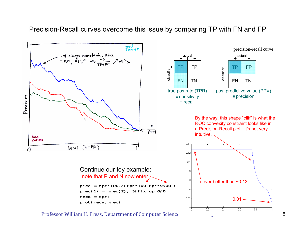## Precision-Recall curves overcome this issue by comparing TP with FN and FP

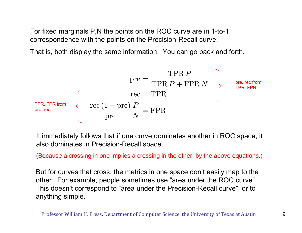For fixed marginals P,N the points on the ROC curve are in 1-to-1 correspondence with the points on the Precision-Recall curve.

That is, both display the same information. You can go back and forth.

$$
\text{pre} = \frac{\text{TPR } P}{\text{TPR } P + \text{FPR } N} \qquad \qquad \text{pre, rec from} \qquad \text{pre, rec from} \qquad \text{pre, rec from} \qquad \text{pre, rec from} \qquad \text{pre, rec from} \qquad \text{pre, rec} \qquad \text{pre, rec from} \qquad \text{pre, rec} \qquad \text{pre, rec} \qquad \text{pre, rec} \qquad \text{pre, rec} \qquad \text{pre, rec} \qquad \text{pre, rec} \qquad \text{pre, rec} \qquad \text{pre, rec} \qquad \text{pre, rec} \qquad \text{pre, rec} \qquad \text{pre, rec} \qquad \text{pre, rec} \qquad \text{pre, rec} \qquad \text{pre, rec} \qquad \text{pre, rec} \qquad \text{pre, rec} \qquad \text{pre, rec} \qquad \text{pre, rec} \qquad \text{pre, rec} \qquad \text{pre, rec} \qquad \text{pre, rec} \qquad \text{pre, rec} \qquad \text{pre, rec} \qquad \text{pre, rec} \qquad \text{pre, rec} \qquad \text{pre, rec} \qquad \text{pre, rec} \qquad \text{pre, rec} \qquad \text{pre, rec} \qquad \text{pre, rec} \qquad \text{pre, rec} \qquad \text{pre, rec} \qquad \text{pre, rec} \qquad \text{pre, rec} \qquad \text{pre, rec} \qquad \text{pre, rec} \qquad \text{pre, rec} \qquad \text{pre, rec} \qquad \text{pre, rec} \qquad \text{pre, rec} \qquad \text{pre, rec} \qquad \text{pre, rec} \qquad \text{pre, rec} \qquad \text{pre, rec} \qquad \text{pre, rec} \qquad \text{pre, rec} \qquad \text{pre, rec} \qquad \text{pre, rec} \qquad \text{pre, rec} \qquad \text{pre, rec} \qquad \text{pre, rec} \qquad \text{pre, rec} \qquad \text{pre, rec} \qquad \text{pre, rec} \qquad \text{pre, rec} \qquad \text{pre, rec} \qquad \text{pre, rec} \qquad \text{pre, rec} \qquad \text{pre, rec} \qquad \text{pre, rec} \qquad \text{pre, rec} \qquad \text{pre, rec} \qquad \text{pre, rec} \qquad \text{pre, rec} \qquad \text{pre, rec
$$

It immediately follows that if one curve dominates another in ROC space, it also dominates in Precision-Recall space.

(Because a crossing in one implies a crossing in the other, by the above equations.)

But for curves that cross, the metrics in one space don't easily map to the other. For example, people sometimes use "area under the ROC curve". This doesn't correspond to "area under the Precision-Recall curve", or to anything simple.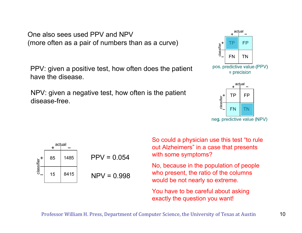One also sees used PPV and NPV(more often as a pair of numbers than as a curve)

PPV: given a positive test, how often does the patient have the disease.

NPV: given a negative test, how often is the patient disease-free.







So could a physician use this test "to rule out Alzheimers" in a case that presents with some symptoms?

No, because in the population of people who present, the ratio of the columns would be not nearly so extreme.

You have to be careful about asking exactly the question you want!